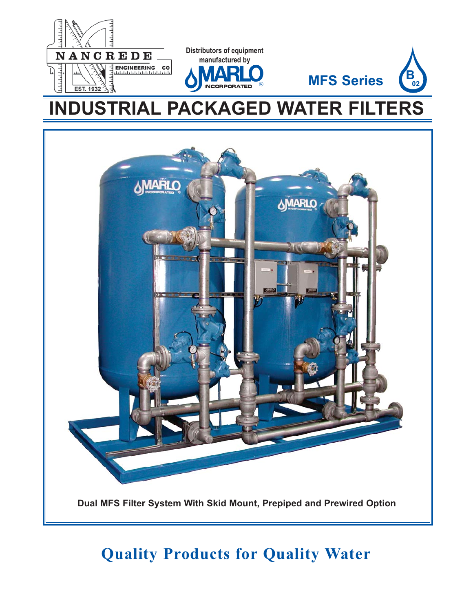



# **Quality Products for Quality Water**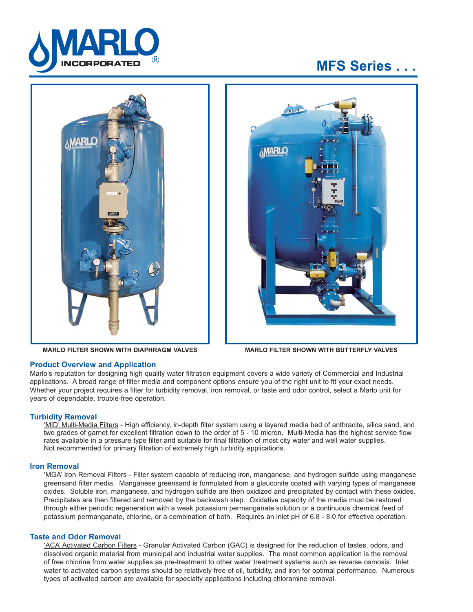

# **MFS Series . . .**



**MARLO FILTER SHOWN WITH DIAPHRAGM VALVES**



**MARLO FILTER SHOWN WITH BUTTERFLY VALVES** 

# **Product Overview and Application**

Marlo's reputation for designing high quality water filtration equipment covers a wide variety of Commercial and Industrial applications. A broad range of filter media and component options ensure you of the right unit to fit your exact needs. Whether your project requires a filter for turbidity removal, iron removal, or taste and odor control, select a Marlo unit for years of dependable, trouble-free operation.

# **Turbidity Removal**

'MID<sup>7</sup> Multi-Media Filters - High efficiency, in-depth filter system using a layered media bed of anthracite, silica sand, and two grades of garnet for excellent filtration down to the order of 5 - 10 micron. Multi-Media has the highest service flow rates available in a pressure type filter and suitable for final filtration of most city water and well water supplies. Not recommended for primary filtration of extremely high turbidity applications.

# **Iron Removal**

'MGA' Iron Removal Filters - Filter system capable of reducing iron, manganese, and hydrogen sulfide using manganese greensand filter media. Manganese greensand is formulated from a glauconite coated with varying types of manganese oxides. Soluble iron, manganese, and hydrogen sulfide are then oxidized and precipitated by contact with these oxides. Precipitates are then filtered and removed by the backwash step. Oxidative capacity of the media must be restored through either periodic regeneration with a weak potassium permanganate solution or a continuous chemical feed of potassium permanganate, chlorine, or a combination of both. Requires an inlet pH of 6.8 - 8.0 for effective operation.

# **Taste and Odor Removal**

'ACA' Activated Carbon Filters - Granular Activated Carbon (GAC) is designed for the reduction of tastes, odors, and dissolved organic material from municipal and industrial water supplies. The most common application is the removal of free chlorine from water supplies as pre-treatment to other water treatment systems such as reverse osmosis. Inlet water to activated carbon systems should be relatively free of oil, turbidity, and iron for optimal performance. Numerous types of activated carbon are available for specialty applications including chloramine removal.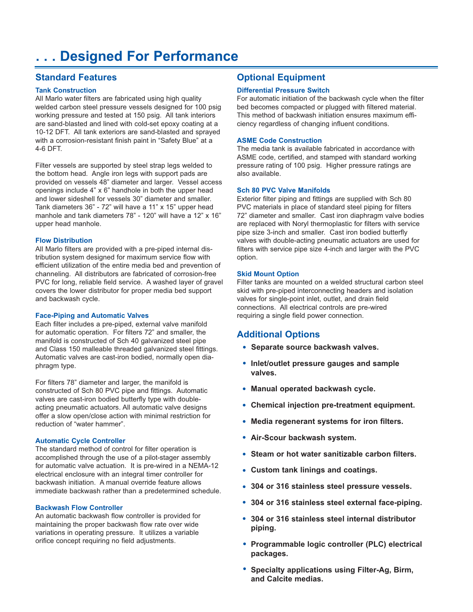# **. . . Designed For Performance**

# **Standard Features**

# **Tank Construction**

All Marlo water filters are fabricated using high quality welded carbon steel pressure vessels designed for 100 psig working pressure and tested at 150 psig. All tank interiors are sand-blasted and lined with cold-set epoxy coating at a 10-12 DFT. All tank exteriors are sand-blasted and sprayed with a corrosion-resistant finish paint in "Safety Blue" at a 4-6 DFT.

Filter vessels are supported by steel strap legs welded to the bottom head. Angle iron legs with support pads are provided on vessels 48" diameter and larger. Vessel access openings include 4" x 6" handhole in both the upper head and lower sideshell for vessels 30" diameter and smaller. Tank diameters 36" - 72" will have a 11" x 15" upper head manhole and tank diameters 78" - 120" will have a 12" x 16" upper head manhole.

#### **Flow Distribution**

All Marlo filters are provided with a pre-piped internal distribution system designed for maximum service flow with efficient utilization of the entire media bed and prevention of channeling. All distributors are fabricated of corrosion-free PVC for long, reliable field service. A washed layer of gravel covers the lower distributor for proper media bed support and backwash cycle.

#### **Face-Piping and Automatic Valves**

Each filter includes a pre-piped, external valve manifold for automatic operation. For filters 72" and smaller, the manifold is constructed of Sch 40 galvanized steel pipe and Class 150 malleable threaded galvanized steel fittings. Automatic valves are cast-iron bodied, normally open diaphragm type.

For filters 78" diameter and larger, the manifold is constructed of Sch 80 PVC pipe and fittings. Automatic valves are cast-iron bodied butterfly type with doubleacting pneumatic actuators. All automatic valve designs offer a slow open/close action with minimal restriction for reduction of "water hammer".

#### **Automatic Cycle Controller**

The standard method of control for filter operation is accomplished through the use of a pilot-stager assembly for automatic valve actuation. It is pre-wired in a NEMA-12 electrical enclosure with an integral timer controller for back wash initiation. A manual override feature allows immediate backwash rather than a predetermined schedule.

# **Backwash Flow Controller**

An automatic backwash flow controller is provided for maintaining the proper backwash flow rate over wide variations in operating pressure. It utilizes a variable orifice concept requiring no field adjustments.

# **Optional Equipment**

# **Differential Pressure Switch**

For automatic initiation of the backwash cycle when the filter bed becomes compacted or plugged with filtered material. This method of backwash initiation ensures maximum efficiency regardless of changing influent conditions.

# **ASME Code Construction**

The media tank is available fabricated in accordance with ASME code, certified, and stamped with standard working pressure rating of 100 psig. Higher pressure ratings are also available.

# **Sch 80 PVC Valve Manifolds**

Exterior filter piping and fittings are supplied with Sch 80 PVC materials in place of standard steel piping for filters 72" diameter and smaller. Cast iron diaphragm valve bodies are replaced with Noryl thermoplastic for filters with service pipe size 3-inch and smaller. Cast iron bodied butterfly valves with double-acting pneumatic actuators are used for filters with service pipe size 4-inch and larger with the PVC option.

#### **Skid Mount Option**

Filter tanks are mounted on a welded structural carbon steel skid with pre-piped interconnecting headers and isolation valves for single-point inlet, outlet, and drain field connections. All electrical controls are pre-wired requiring a single field power connection.

# **Additional Options**

- **Separate source backwash valves. •**
	- **Inlet/outlet pressure gauges and sample • valves.**
	- **Manual operated backwash cycle. •**
- **Chemical injection pre-treatment equipment. •**
- **Media regenerant systems for iron filters. •**
- **Air-Scour backwash system. •**
- **Steam or hot water sanitizable carbon filters. •**
- **Custom tank linings and coatings. •**
- **304 or 316 stainless steel pressure vessels. •**
- **304 or 316 stainless steel external face-piping. •**
- **304 or 316 stainless steel internal distributor • piping.**
- **Programmable logic controller (PLC) electrical • packages.**
- **Specialty applications using Filter-Ag, Birm, • and Calcite medias.**